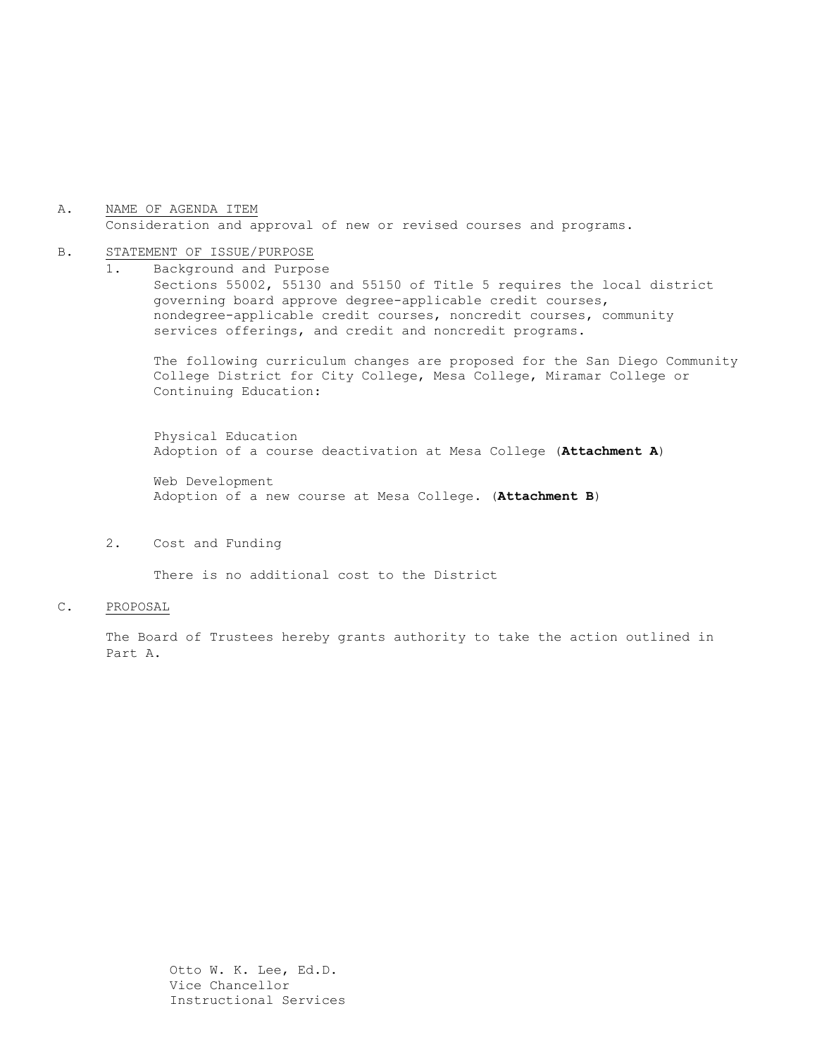A. NAME OF AGENDA ITEM Consideration and approval of new or revised courses and programs.

## B. STATEMENT OF ISSUE/PURPOSE

1. Background and Purpose Sections 55002, 55130 and 55150 of Title 5 requires the local district governing board approve degree-applicable credit courses, nondegree-applicable credit courses, noncredit courses, community services offerings, and credit and noncredit programs.

The following curriculum changes are proposed for the San Diego Community College District for City College, Mesa College, Miramar College or Continuing Education:

Physical Education Adoption of a course deactivation at Mesa College (**Attachment A**)

Web Development Adoption of a new course at Mesa College. (**Attachment B**)

2. Cost and Funding

There is no additional cost to the District

#### C. PROPOSAL

The Board of Trustees hereby grants authority to take the action outlined in Part A.

> Otto W. K. Lee, Ed.D. Vice Chancellor Instructional Services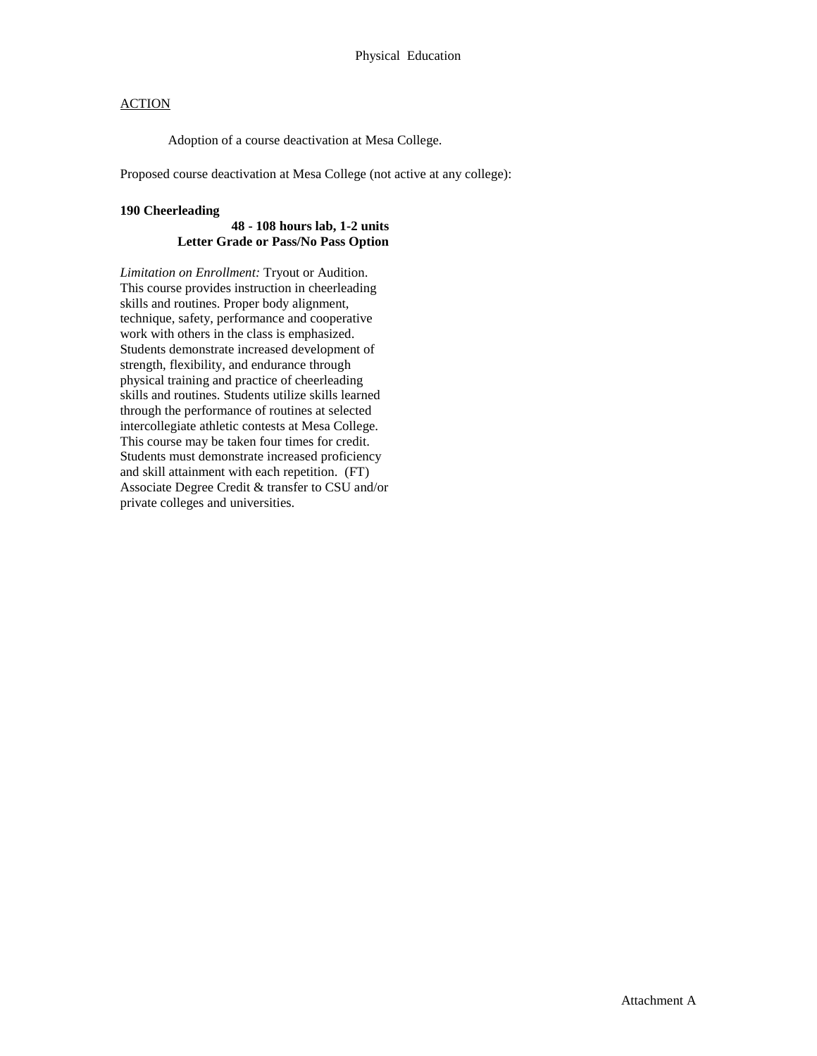# **ACTION**

Adoption of a course deactivation at Mesa College.

Proposed course deactivation at Mesa College (not active at any college):

#### **190 Cheerleading**

### **48 - 108 hours lab, 1-2 units Letter Grade or Pass/No Pass Option**

*Limitation on Enrollment:* Tryout or Audition. This course provides instruction in cheerleading skills and routines. Proper body alignment, technique, safety, performance and cooperative work with others in the class is emphasized. Students demonstrate increased development of strength, flexibility, and endurance through physical training and practice of cheerleading skills and routines. Students utilize skills learned through the performance of routines at selected intercollegiate athletic contests at Mesa College. This course may be taken four times for credit. Students must demonstrate increased proficiency and skill attainment with each repetition. (FT) Associate Degree Credit & transfer to CSU and/or private colleges and universities.